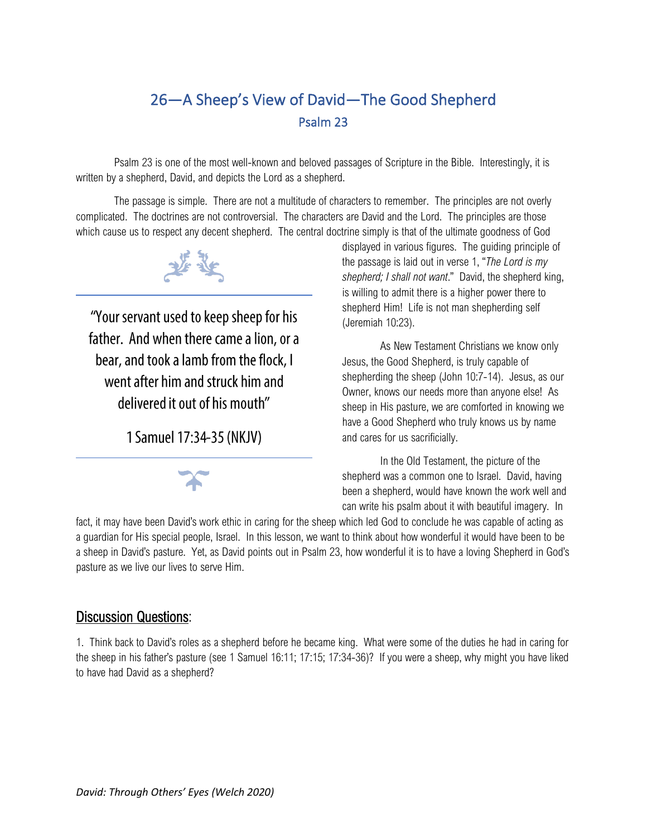## 26—A Sheep's View of David—The Good Shepherd Psalm 23

Psalm 23 is one of the most well-known and beloved passages of Scripture in the Bible. Interestingly, it is written by a shepherd, David, and depicts the Lord as a shepherd.

The passage is simple. There are not a multitude of characters to remember. The principles are not overly complicated. The doctrines are not controversial. The characters are David and the Lord. The principles are those which cause us to respect any decent shepherd. The central doctrine simply is that of the ultimate goodness of God



"Your servant used to keep sheep for his father. And when there came a lion, or a bear, and took a lamb from the flock, I went after him and struck him and delivered it out of his mouth"

1 Samuel 17:34-35 (NKJV)



displayed in various figures. The guiding principle of the passage is laid out in verse 1, "*The Lord is my shepherd; I shall not want*." David, the shepherd king, is willing to admit there is a higher power there to shepherd Him! Life is not man shepherding self (Jeremiah 10:23).

As New Testament Christians we know only Jesus, the Good Shepherd, is truly capable of shepherding the sheep (John 10:7-14). Jesus, as our Owner, knows our needs more than anyone else! As sheep in His pasture, we are comforted in knowing we have a Good Shepherd who truly knows us by name and cares for us sacrificially.

In the Old Testament, the picture of the shepherd was a common one to Israel. David, having been a shepherd, would have known the work well and can write his psalm about it with beautiful imagery. In

fact, it may have been David's work ethic in caring for the sheep which led God to conclude he was capable of acting as a guardian for His special people, Israel. In this lesson, we want to think about how wonderful it would have been to be a sheep in David's pasture. Yet, as David points out in Psalm 23, how wonderful it is to have a loving Shepherd in God's pasture as we live our lives to serve Him.

## Discussion Questions:

1. Think back to David's roles as a shepherd before he became king. What were some of the duties he had in caring for the sheep in his father's pasture (see 1 Samuel 16:11; 17:15; 17:34-36)? If you were a sheep, why might you have liked to have had David as a shepherd?